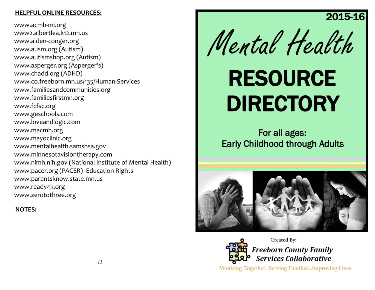#### **HELPFUL ONLINE RESOURCES:**

www.acmh-mi.org www2.albertlea.k12.mn.us www.alden-conger.org www.ausm.org (Autism) www.autismshop.org (Autism) www.asperger.org (Asperger's) www.chadd.org (ADHD) www.co.freeborn.mn.us/135/Human-Services www.familiesandcommunities.org www.familiesfirstmn.org www.fcfsc.org www.geschools.com www.loveandlogic.com www.macmh.org www.mayoclinic.org www.mentalhealth.samshsa.gov www.minnesotavisiontherapy.com www.nimh.nih.gov (National Institute of Mental Health) www.pacer.org (PACER) -Education Rights www.parentsknow.state.mn.us www.ready4k.org www.zerotothree.org

#### **NOTES:**



2015-16

# RESOURCE DIRECTORY

For all ages**:** Early Childhood through Adults





*Freeborn County Family Services Collaborative* **Created By:**

**Working Together…Serving Families…Improving Lives**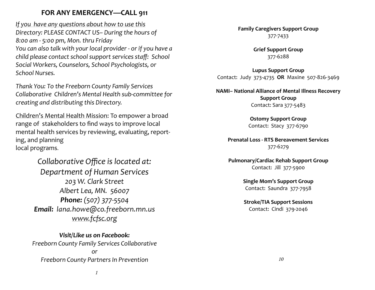## **FOR ANY EMERGENCY—CALL 911**

*If you have any questions about how to use this Directory: PLEASE CONTACT US– During the hours of 8:00 am - 5:00 pm, Mon. thru Friday You can also talk with your local provider - or if you have a child please contact school support services staff: School Social Workers, Counselors, School Psychologists, or School Nurses.* 

*Thank You: To the Freeborn County Family Services Collaborative Children's Mental Health sub-committee for creating and distributing this Directory.* 

Children's Mental Health Mission: To empower a broad range of stakeholders to find ways to improve local mental health services by reviewing, evaluating, reporting, and planning local programs.

> *Collaborative Office is located at: Department of Human Services 203 W. Clark Street Albert Lea, MN. 56007 Phone: (507) 377-5504 Email: lana.howe@co.freeborn.mn.us www.fcfsc.org*

*Visit/Like us on Facebook: Freeborn County Family Services Collaborative or Freeborn County Partners In Prevention*

**Family Caregivers Support Group** 377-7433

> **Grief Support Group** 377-6288

**Lupus Support Group** Contact: Judy 373-4735 **OR** Maxine 507-826-3469

**NAMI– National Alliance of Mental Illness Recovery Support Group**  Contact: Sara 377-5483

> **Ostomy Support Group** Contact: Stacy 377-6790

**Prenatal Loss - RTS Bereavement Services** 377-6279

**Pulmonary/Cardiac Rehab Support Group** Contact: Jill 377-5900

> **Single Mom's Support Group** Contact: Saundra 377-7958

> **Stroke/TIA Support Sessions** Contact: Cindi 379-2046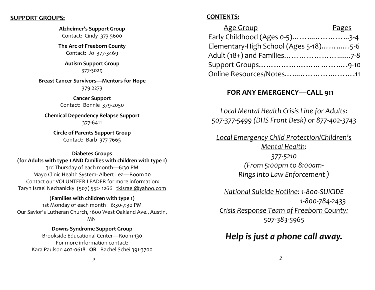#### **SUPPORT GROUPS:**

#### **Alzheimer's Support Group**

Contact: Cindy 373-5600

**The Arc of Freeborn County** Contact: Jo 377-3469

#### **Autism Support Group** 377-3029

**Breast Cancer Survivors—Mentors for Hope** 379-2273

> **Cancer Support**  Contact: Bonnie 379-2050

**Chemical Dependency Relapse Support** 377-6411

**Circle of Parents Support Group** Contact: Barb 377-7665

#### **Diabetes Groups (for Adults with type 1 AND families with children with type 1)**

3rd Thursday of each month—6:30 PM Mayo Clinic Health System- Albert Lea—Room 20 Contact our VOLUNTEER LEADER for more information: Taryn Israel Nechanicky (507) 552-1266 [tkisrael@yahoo.com](mailto:tkisrael@yahoo.com)

#### **(Families with children with type 1)**

1st Monday of each month6:30-7:30 PM Our Savior's Lutheran Church, 1600 West Oakland Ave., Austin, MN

**Downs Syndrome Support Group** Brookside Educational Center—Room 130 For more information contact: Kara Paulson 402-0618 **OR** Rachel Schei 391-3700

## **CONTENTS:**

| <b>Age Group</b>                      | <b>Pages</b> |
|---------------------------------------|--------------|
| Early Childhood (Ages 0-5)3-4         |              |
| Elementary-High School (Ages 5-18)5-6 |              |
| Adult (18+) and Families        7-8   |              |
|                                       |              |
| Online Resources/Notes11              |              |

## **FOR ANY EMERGENCY—CALL 911**

*Local Mental Health Crisis Line for Adults: 507-377-5499 (DHS Front Desk) or 877-402-3743*

*Local Emergency Child Protection/Children's Mental Health: 377-5210 (From 5:00pm to 8:00am-Rings into Law Enforcement )*

*National Suicide Hotline: 1-800-SUICIDE 1-800-784-2433 Crisis Response Team of Freeborn County: 507-383-5965*

# *Help is just a phone call away.*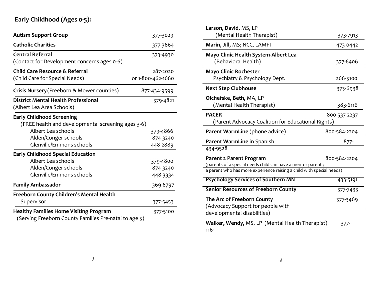# **Early Childhood (Ages 0-5):**

| <b>Autism Support Group</b>                           | 377-3029          |  |
|-------------------------------------------------------|-------------------|--|
| <b>Catholic Charities</b>                             | 377-3664          |  |
| <b>Central Referral</b>                               | 373-4930          |  |
| (Contact for Development concerns ages 0-6)           |                   |  |
| <b>Child Care Resource &amp; Referral</b>             | 287-2020          |  |
| (Child Care for Special Needs)                        | or 1-800-462-1660 |  |
| Crisis Nursery (Freeborn & Mower counties)            | 877-434-9599      |  |
| <b>District Mental Health Professional</b>            | 379-4821          |  |
| (Albert Lea Area Schools)                             |                   |  |
| <b>Early Childhood Screening</b>                      |                   |  |
| (FREE health and developmental screening ages 3-6)    |                   |  |
| Albert Lea schools                                    | 379-4866          |  |
| Alden/Conger schools                                  | 874-3240          |  |
| Glenville/Emmons schools                              | 448-2889          |  |
| <b>Early Childhood Special Education</b>              |                   |  |
| Albert Lea schools                                    | 379-4800          |  |
| Alden/Conger schools                                  | 874-3240          |  |
| Glenville/Emmons schools                              | 448-3334          |  |
| <b>Family Ambassador</b>                              | 369-6797          |  |
| Freeborn County Children's Mental Health              |                   |  |
| Supervisor                                            | 377-5453          |  |
| <b>Healthy Families Home Visiting Program</b>         | 377-5100          |  |
| (Serving Freeborn County Families Pre-natal to age 5) |                   |  |

|              | Larson, David, MS, LP                                                                         |              |
|--------------|-----------------------------------------------------------------------------------------------|--------------|
| 3029         | (Mental Health Therapist)                                                                     | 373-7913     |
| 3664         | Marin, Jill, MS; NCC, LAMFT                                                                   | 473-0442     |
| 4930         | Mayo Clinic Health System-Albert Lea<br>(Behavioral Health)                                   | 377-6406     |
| 2020         | <b>Mayo Clinic Rochester</b>                                                                  |              |
| 1660         | Psychiatry & Psychology Dept.                                                                 | 266-5100     |
| 9599         | <b>Next Step Clubhouse</b>                                                                    | 373-6938     |
| $-4821$      | Olchefske, Beth, MA, LP                                                                       |              |
|              | (Mental Health Therapist)                                                                     | 383-6116     |
|              | <b>PACER</b><br>(Parent Advocacy Coalition for Educational Rights)                            | 800-537-2237 |
| 866ء         | Parent WarmLine (phone advice)                                                                | 800-584-2204 |
| 3240<br>2889 | Parent WarmLine in Spanish                                                                    | $877 -$      |
|              | 434-9528                                                                                      |              |
| 1800         | <b>Parent 2 Parent Program</b><br>(parents of a special needs child can have a mentor parent; | 800-584-2204 |
| 3240         | a parent who has more experience raising a child with special needs)                          |              |
| 3334<br>6797 | <b>Psychology Services of Southern MN</b>                                                     | 433-5191     |
|              | <b>Senior Resources of Freeborn County</b>                                                    | 377-7433     |
| 5453         | The Arc of Freeborn County<br>(Advocacy Support for people with                               | 377-3469     |
| $-5100$      | developmental disabilities)                                                                   |              |
|              | Walker, Wendy, MS, LP (Mental Health Therapist)<br>1161                                       | $377 -$      |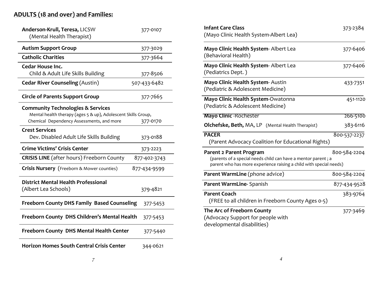# **ADULTS (18 and over) and Families:**

| Anderson-Krull, Teresa, LICSW<br>(Mental Health Therapist)                                                                                                 | 377-0107     |  |  |
|------------------------------------------------------------------------------------------------------------------------------------------------------------|--------------|--|--|
| <b>Autism Support Group</b>                                                                                                                                | 377-3029     |  |  |
| <b>Catholic Charities</b>                                                                                                                                  | 377-3664     |  |  |
| Cedar House Inc.<br>Child & Adult Life Skills Building                                                                                                     | 377-8506     |  |  |
| <b>Cedar River Counseling (Austin)</b>                                                                                                                     | 507-433-6482 |  |  |
| <b>Circle of Parents Support Group</b>                                                                                                                     | 377-7665     |  |  |
| <b>Community Technologies &amp; Services</b><br>Mental health therapy (ages 5 & up), Adolescent Skills Group,<br>Chemical Dependency Assessments, and more | 377-0170     |  |  |
| <b>Crest Services</b><br>Dev. Disabled Adult Life Skills Building                                                                                          | 373-0188     |  |  |
| <b>Crime Victims' Crisis Center</b>                                                                                                                        | 373-2223     |  |  |
| <b>CRISIS LINE</b> (after hours) Freeborn County                                                                                                           | 877-402-3743 |  |  |
| <b>Crisis Nursery</b> (Freeborn & Mower counties)                                                                                                          | 877-434-9599 |  |  |
| <b>District Mental Health Professional</b><br>(Albert Lea Schools)                                                                                         | 379-4821     |  |  |
| <b>Freeborn County DHS Family Based Counseling</b>                                                                                                         | 377-5453     |  |  |
| Freeborn County DHS Children's Mental Health<br>377-5453                                                                                                   |              |  |  |
| <b>Freeborn County DHS Mental Health Center</b>                                                                                                            | 377-5440     |  |  |
| <b>Horizon Homes South Central Crisis Center</b>                                                                                                           | 344-0621     |  |  |

| <b>Infant Care Class</b><br>(Mayo Clinic Health System-Albert Lea)                                                                                             | 373-2384     |
|----------------------------------------------------------------------------------------------------------------------------------------------------------------|--------------|
|                                                                                                                                                                |              |
| Mayo Clinic Health System-Albert Lea<br>(Behavioral Health)                                                                                                    | 377-6406     |
| Mayo Clinic Health System-Albert Lea<br>(Pediatrics Dept. )                                                                                                    | 377-6406     |
| Mayo Clinic Health System- Austin<br>(Pediatric & Adolescent Medicine)                                                                                         | 433-7351     |
| Mayo Clinic Health System-Owatonna<br>(Pediatric & Adolescent Medicine)                                                                                        | 451-1120     |
| <b>Mayo Clinic - Rochester</b>                                                                                                                                 | 266-5100     |
| <b>Olchefske, Beth, MA, LP</b> (Mental Health Therapist)                                                                                                       | 383-6116     |
| <b>PACER</b><br>(Parent Advocacy Coalition for Educational Rights)                                                                                             | 800-537-2237 |
| Parent 2 Parent Program<br>(parents of a special needs child can have a mentor parent; a<br>parent who has more experience raising a child with special needs) | 800-584-2204 |
| Parent WarmLine (phone advice)                                                                                                                                 | 800-584-2204 |
| Parent WarmLine- Spanish                                                                                                                                       | 877-434-9528 |
| <b>Parent Coach</b><br>(FREE to all children in Freeborn County Ages 0-5)                                                                                      | 383-9764     |
| The Arc of Freeborn County<br>(Advocacy Support for people with<br>developmental disabilities)                                                                 | 377-3469     |